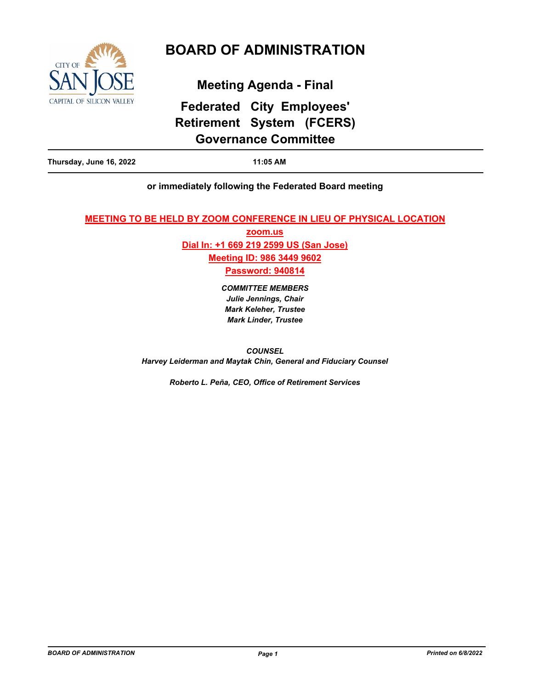

# **BOARD OF ADMINISTRATION**

**Meeting Agenda - Final**

# **Federated City Employees' Retirement System (FCERS) Governance Committee**

|--|

# **or immediately following the Federated Board meeting**

## **MEETING TO BE HELD BY ZOOM CONFERENCE IN LIEU OF PHYSICAL LOCATION**

**zoom.us Dial In: +1 669 219 2599 US (San Jose) Meeting ID: 986 3449 9602 Password: 940814**

> *COMMITTEE MEMBERS Julie Jennings, Chair Mark Keleher, Trustee Mark Linder, Trustee*

*COUNSEL Harvey Leiderman and Maytak Chin, General and Fiduciary Counsel*

*Roberto L. Peña, CEO, Office of Retirement Services*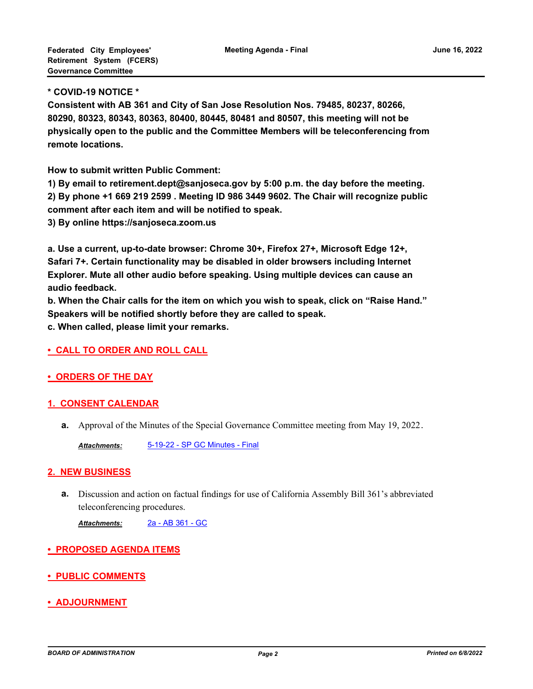#### **\* COVID-19 NOTICE \***

**Consistent with AB 361 and City of San Jose Resolution Nos. 79485, 80237, 80266, 80290, 80323, 80343, 80363, 80400, 80445, 80481 and 80507, this meeting will not be physically open to the public and the Committee Members will be teleconferencing from remote locations.**

**How to submit written Public Comment:**

**1) By email to retirement.dept@sanjoseca.gov by 5:00 p.m. the day before the meeting. 2) By phone +1 669 219 2599 . Meeting ID 986 3449 9602. The Chair will recognize public comment after each item and will be notified to speak.**

**3) By online https://sanjoseca.zoom.us**

**a. Use a current, up-to-date browser: Chrome 30+, Firefox 27+, Microsoft Edge 12+, Safari 7+. Certain functionality may be disabled in older browsers including Internet Explorer. Mute all other audio before speaking. Using multiple devices can cause an audio feedback.**

**b. When the Chair calls for the item on which you wish to speak, click on "Raise Hand." Speakers will be notified shortly before they are called to speak.**

**c. When called, please limit your remarks.**

#### **• CALL TO ORDER AND ROLL CALL**

# **• ORDERS OF THE DAY**

#### **1. CONSENT CALENDAR**

**a.** Approval of the Minutes of the Special Governance Committee meeting from May 19, 2022.

*Attachments:* [5-19-22 - SP GC Minutes - Final](http://sjrs.legistar.com/gateway.aspx?M=F&ID=3f155631-4c1a-4e29-8e85-1ad2686f41a8.pdf)

#### **2. NEW BUSINESS**

Discussion and action on factual findings for use of California Assembly Bill 361's abbreviated **a.** teleconferencing procedures.

*Attachments:* [2a - AB 361 - GC](http://sjrs.legistar.com/gateway.aspx?M=F&ID=a8edfa8a-a67e-4651-9200-46103e6484b4.pdf)

# **• PROPOSED AGENDA ITEMS**

- **PUBLIC COMMENTS**
- **ADJOURNMENT**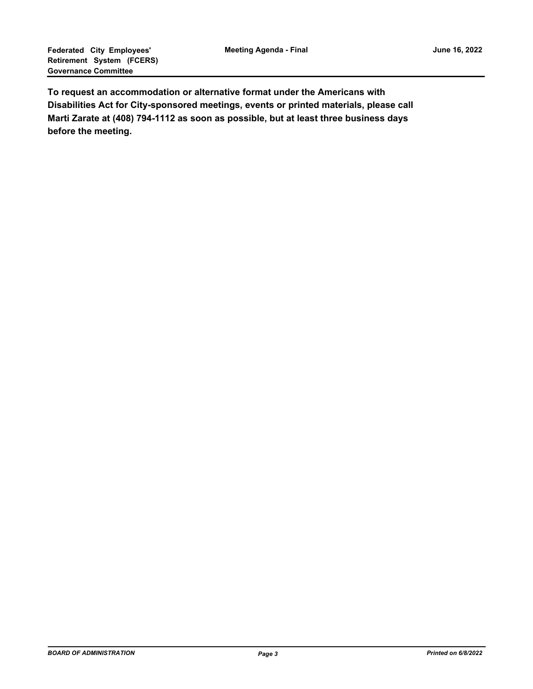**To request an accommodation or alternative format under the Americans with Disabilities Act for City-sponsored meetings, events or printed materials, please call Marti Zarate at (408) 794-1112 as soon as possible, but at least three business days before the meeting.**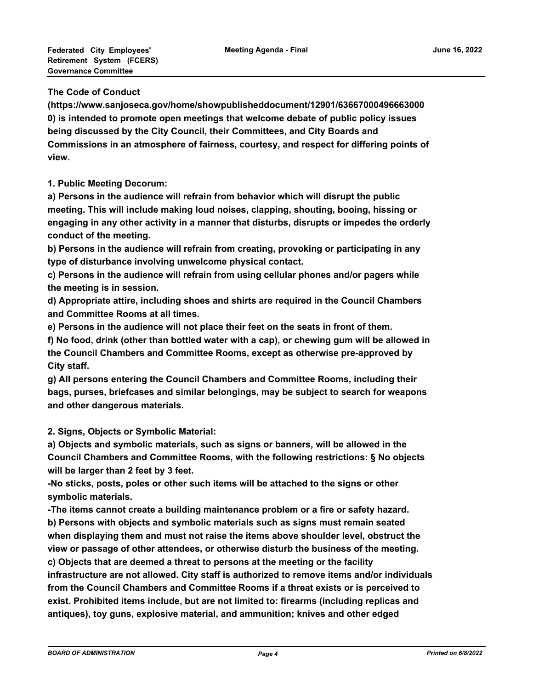#### **The Code of Conduct**

**(https://www.sanjoseca.gov/home/showpublisheddocument/12901/63667000496663000 0) is intended to promote open meetings that welcome debate of public policy issues being discussed by the City Council, their Committees, and City Boards and Commissions in an atmosphere of fairness, courtesy, and respect for differing points of view.**

## **1. Public Meeting Decorum:**

**a) Persons in the audience will refrain from behavior which will disrupt the public meeting. This will include making loud noises, clapping, shouting, booing, hissing or engaging in any other activity in a manner that disturbs, disrupts or impedes the orderly conduct of the meeting.**

**b) Persons in the audience will refrain from creating, provoking or participating in any type of disturbance involving unwelcome physical contact.**

**c) Persons in the audience will refrain from using cellular phones and/or pagers while the meeting is in session.**

**d) Appropriate attire, including shoes and shirts are required in the Council Chambers and Committee Rooms at all times.**

**e) Persons in the audience will not place their feet on the seats in front of them.**

**f) No food, drink (other than bottled water with a cap), or chewing gum will be allowed in the Council Chambers and Committee Rooms, except as otherwise pre-approved by City staff.**

**g) All persons entering the Council Chambers and Committee Rooms, including their bags, purses, briefcases and similar belongings, may be subject to search for weapons and other dangerous materials.** 

**2. Signs, Objects or Symbolic Material:**

**a) Objects and symbolic materials, such as signs or banners, will be allowed in the Council Chambers and Committee Rooms, with the following restrictions: § No objects will be larger than 2 feet by 3 feet.**

**-No sticks, posts, poles or other such items will be attached to the signs or other symbolic materials.**

**-The items cannot create a building maintenance problem or a fire or safety hazard. b) Persons with objects and symbolic materials such as signs must remain seated when displaying them and must not raise the items above shoulder level, obstruct the view or passage of other attendees, or otherwise disturb the business of the meeting.**

**c) Objects that are deemed a threat to persons at the meeting or the facility infrastructure are not allowed. City staff is authorized to remove items and/or individuals from the Council Chambers and Committee Rooms if a threat exists or is perceived to exist. Prohibited items include, but are not limited to: firearms (including replicas and antiques), toy guns, explosive material, and ammunition; knives and other edged**